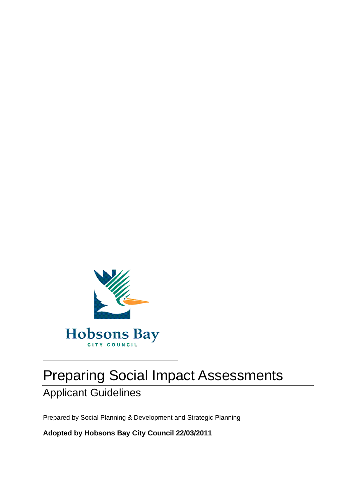

# Preparing Social Impact Assessments

# Applicant Guidelines

Prepared by Social Planning & Development and Strategic Planning

**Adopted by Hobsons Bay City Council 22/03/2011**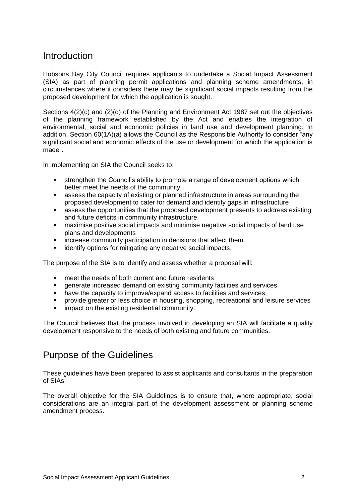### **Introduction**

Hobsons Bay City Council requires applicants to undertake a Social Impact Assessment (SIA) as part of planning permit applications and planning scheme amendments, in circumstances where it considers there may be significant social impacts resulting from the proposed development for which the application is sought.

Sections 4(2)(c) and (2)(d) of the Planning and Environment Act 1987 set out the objectives of the planning framework established by the Act and enables the integration of environmental, social and economic policies in land use and development planning. In addition, Section 60(1A)(a) allows the Council as the Responsible Authority to consider "any significant social and economic effects of the use or development for which the application is made".

In implementing an SIA the Council seeks to:

- strengthen the Council's ability to promote a range of development options which better meet the needs of the community
- assess the capacity of existing or planned infrastructure in areas surrounding the proposed development to cater for demand and identify gaps in infrastructure
- assess the opportunities that the proposed development presents to address existing and future deficits in community infrastructure
- maximise positive social impacts and minimise negative social impacts of land use plans and developments
- **EXEDENT** increase community participation in decisions that affect them
- **EXECT** identify options for mitigating any negative social impacts.

The purpose of the SIA is to identify and assess whether a proposal will:

- meet the needs of both current and future residents
- generate increased demand on existing community facilities and services
- have the capacity to improve/expand access to facilities and services<br>■ provide greater or less choice in housing shopping recreational and l
- provide greater or less choice in housing, shopping, recreational and leisure services
- impact on the existing residential community.

The Council believes that the process involved in developing an SIA will facilitate a quality development responsive to the needs of both existing and future communities.

### Purpose of the Guidelines

These guidelines have been prepared to assist applicants and consultants in the preparation of SIAs.

The overall objective for the SIA Guidelines is to ensure that, where appropriate, social considerations are an integral part of the development assessment or planning scheme amendment process.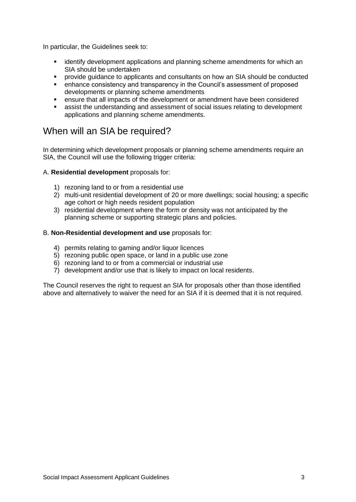In particular, the Guidelines seek to:

- identify development applications and planning scheme amendments for which an SIA should be undertaken
- provide guidance to applicants and consultants on how an SIA should be conducted
- enhance consistency and transparency in the Council's assessment of proposed developments or planning scheme amendments
- ensure that all impacts of the development or amendment have been considered
- assist the understanding and assessment of social issues relating to development applications and planning scheme amendments.

### When will an SIA be required?

In determining which development proposals or planning scheme amendments require an SIA, the Council will use the following trigger criteria:

#### A. **Residential development** proposals for:

- 1) rezoning land to or from a residential use
- 2) multi-unit residential development of 20 or more dwellings; social housing; a specific age cohort or high needs resident population
- 3) residential development where the form or density was not anticipated by the planning scheme or supporting strategic plans and policies.

#### B. **Non-Residential development and use** proposals for:

- 4) permits relating to gaming and/or liquor licences
- 5) rezoning public open space, or land in a public use zone
- 6) rezoning land to or from a commercial or industrial use
- 7) development and/or use that is likely to impact on local residents.

The Council reserves the right to request an SIA for proposals other than those identified above and alternatively to waiver the need for an SIA if it is deemed that it is not required.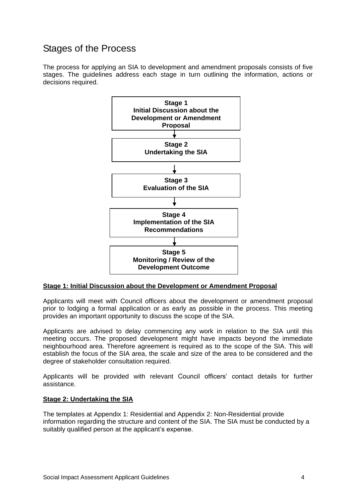# Stages of the Process

The process for applying an SIA to development and amendment proposals consists of five stages. The guidelines address each stage in turn outlining the information, actions or decisions required.



#### **Stage 1: Initial Discussion about the Development or Amendment Proposal**

Applicants will meet with Council officers about the development or amendment proposal prior to lodging a formal application or as early as possible in the process. This meeting provides an important opportunity to discuss the scope of the SIA.

Applicants are advised to delay commencing any work in relation to the SIA until this meeting occurs. The proposed development might have impacts beyond the immediate neighbourhood area. Therefore agreement is required as to the scope of the SIA. This will establish the focus of the SIA area, the scale and size of the area to be considered and the degree of stakeholder consultation required.

Applicants will be provided with relevant Council officers' contact details for further assistance.

#### **Stage 2: Undertaking the SIA**

The templates at Appendix 1: Residential and Appendix 2: Non-Residential provide information regarding the structure and content of the SIA. The SIA must be conducted by a suitably qualified person at the applicant's expense.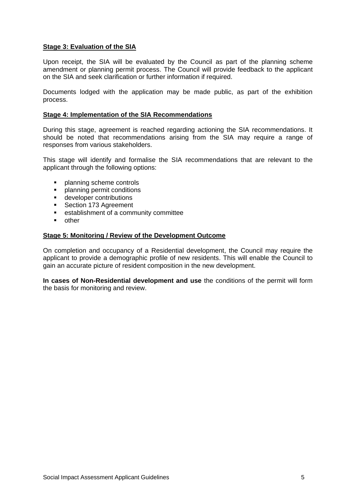#### **Stage 3: Evaluation of the SIA**

Upon receipt, the SIA will be evaluated by the Council as part of the planning scheme amendment or planning permit process. The Council will provide feedback to the applicant on the SIA and seek clarification or further information if required.

Documents lodged with the application may be made public, as part of the exhibition process.

#### **Stage 4: Implementation of the SIA Recommendations**

During this stage, agreement is reached regarding actioning the SIA recommendations. It should be noted that recommendations arising from the SIA may require a range of responses from various stakeholders.

This stage will identify and formalise the SIA recommendations that are relevant to the applicant through the following options:

- **•** planning scheme controls
- **•** planning permit conditions
- **developer contributions**
- Section 173 Agreement
- **EXEC** establishment of a community committee
- **•** other

#### **Stage 5: Monitoring / Review of the Development Outcome**

On completion and occupancy of a Residential development, the Council may require the applicant to provide a demographic profile of new residents. This will enable the Council to gain an accurate picture of resident composition in the new development.

**In cases of Non-Residential development and use** the conditions of the permit will form the basis for monitoring and review.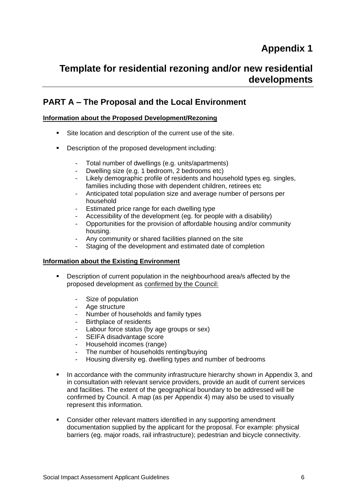# **Appendix 1**

# **Template for residential rezoning and/or new residential developments**

### **PART A – The Proposal and the Local Environment**

#### **Information about the Proposed Development/Rezoning**

- Site location and description of the current use of the site.
- Description of the proposed development including:
	- Total number of dwellings (e.g. units/apartments)
	- Dwelling size (e.g. 1 bedroom, 2 bedrooms etc)
	- Likely demographic profile of residents and household types eg. singles, families including those with dependent children, retirees etc
	- Anticipated total population size and average number of persons per household
	- Estimated price range for each dwelling type
	- Accessibility of the development (eg. for people with a disability)
	- Opportunities for the provision of affordable housing and/or community housing.
	- Any community or shared facilities planned on the site
	- Staging of the development and estimated date of completion

#### **Information about the Existing Environment**

- Description of current population in the neighbourhood area/s affected by the proposed development as confirmed by the Council:
	- Size of population
	- Age structure
	- Number of households and family types
	- Birthplace of residents
	- Labour force status (by age groups or sex)
	- SEIFA disadvantage score
	- Household incomes (range)
	- The number of households renting/buying
	- Housing diversity eg. dwelling types and number of bedrooms
- In accordance with the community infrastructure hierarchy shown in Appendix 3, and in consultation with relevant service providers, provide an audit of current services and facilities. The extent of the geographical boundary to be addressed will be confirmed by Council. A map (as per Appendix 4) may also be used to visually represent this information.
- Consider other relevant matters identified in any supporting amendment documentation supplied by the applicant for the proposal. For example: physical barriers (eg. major roads, rail infrastructure); pedestrian and bicycle connectivity.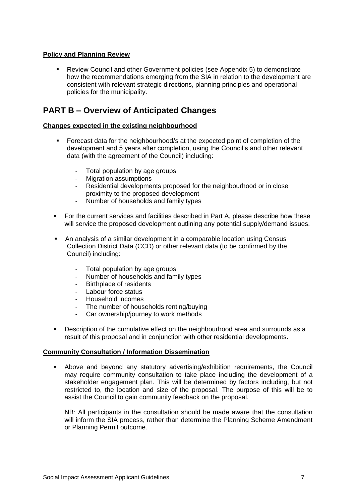#### **Policy and Planning Review**

 Review Council and other Government policies (see Appendix 5) to demonstrate how the recommendations emerging from the SIA in relation to the development are consistent with relevant strategic directions, planning principles and operational policies for the municipality.

### **PART B – Overview of Anticipated Changes**

#### **Changes expected in the existing neighbourhood**

- Forecast data for the neighbourhood/s at the expected point of completion of the development and 5 years after completion, using the Council's and other relevant data (with the agreement of the Council) including:
	- Total population by age groups
	- Migration assumptions
	- Residential developments proposed for the neighbourhood or in close proximity to the proposed development
	- Number of households and family types
- For the current services and facilities described in Part A, please describe how these will service the proposed development outlining any potential supply/demand issues.
- An analysis of a similar development in a comparable location using Census Collection District Data (CCD) or other relevant data (to be confirmed by the Council) including:
	- Total population by age groups
	- Number of households and family types
	- Birthplace of residents
	- Labour force status
	- Household incomes
	- The number of households renting/buying
	- Car ownership/journey to work methods
- Description of the cumulative effect on the neighbourhood area and surrounds as a result of this proposal and in conjunction with other residential developments.

#### **Community Consultation / Information Dissemination**

 Above and beyond any statutory advertising/exhibition requirements, the Council may require community consultation to take place including the development of a stakeholder engagement plan. This will be determined by factors including, but not restricted to, the location and size of the proposal. The purpose of this will be to assist the Council to gain community feedback on the proposal.

NB: All participants in the consultation should be made aware that the consultation will inform the SIA process, rather than determine the Planning Scheme Amendment or Planning Permit outcome.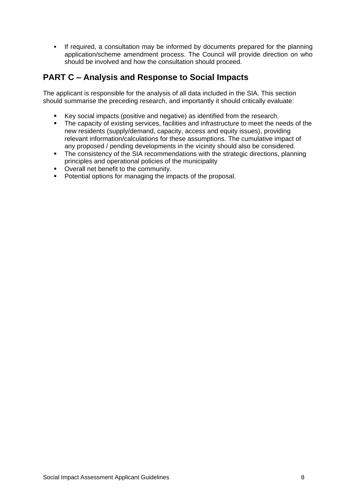If required, a consultation may be informed by documents prepared for the planning application/scheme amendment process. The Council will provide direction on who should be involved and how the consultation should proceed.

### **PART C – Analysis and Response to Social Impacts**

The applicant is responsible for the analysis of all data included in the SIA. This section should summarise the preceding research, and importantly it should critically evaluate:

- Key social impacts (positive and negative) as identified from the research.<br>The capacity of existing services facilities and infrastructure to meet the ne
- The capacity of existing services, facilities and infrastructure to meet the needs of the new residents (supply/demand, capacity, access and equity issues), providing relevant information/calculations for these assumptions. The cumulative impact of any proposed / pending developments in the vicinity should also be considered.
- The consistency of the SIA recommendations with the strategic directions, planning principles and operational policies of the municipality
- Overall net benefit to the community.
- **•** Potential options for managing the impacts of the proposal.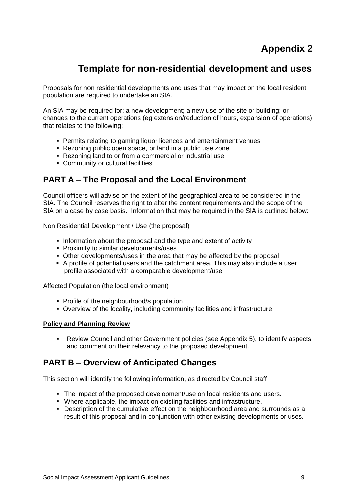# **Appendix 2**

# **Template for non-residential development and uses**

Proposals for non residential developments and uses that may impact on the local resident population are required to undertake an SIA.

An SIA may be required for: a new development; a new use of the site or building; or changes to the current operations (eg extension/reduction of hours, expansion of operations) that relates to the following:

- **Permits relating to gaming liquor licences and entertainment venues**
- Rezoning public open space, or land in a public use zone
- Rezoning land to or from a commercial or industrial use
- Community or cultural facilities

### **PART A – The Proposal and the Local Environment**

Council officers will advise on the extent of the geographical area to be considered in the SIA. The Council reserves the right to alter the content requirements and the scope of the SIA on a case by case basis. Information that may be required in the SIA is outlined below:

Non Residential Development / Use (the proposal)

- Information about the proposal and the type and extent of activity
- **Proximity to similar developments/uses**
- Other developments/uses in the area that may be affected by the proposal
- A profile of potential users and the catchment area. This may also include a user profile associated with a comparable development/use

Affected Population (the local environment)

- Profile of the neighbourhood/s population
- Overview of the locality, including community facilities and infrastructure

#### **Policy and Planning Review**

 Review Council and other Government policies (see Appendix 5), to identify aspects and comment on their relevancy to the proposed development.

### **PART B – Overview of Anticipated Changes**

This section will identify the following information, as directed by Council staff:

- The impact of the proposed development/use on local residents and users.
- Where applicable, the impact on existing facilities and infrastructure.
- Description of the cumulative effect on the neighbourhood area and surrounds as a result of this proposal and in conjunction with other existing developments or uses.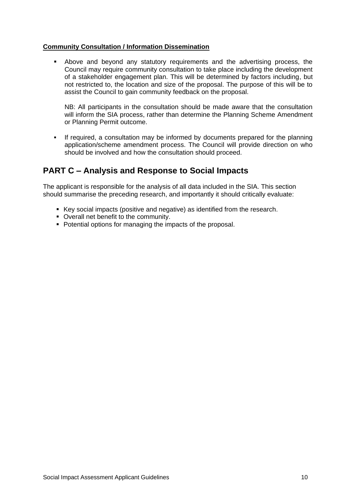#### **Community Consultation / Information Dissemination**

 Above and beyond any statutory requirements and the advertising process, the Council may require community consultation to take place including the development of a stakeholder engagement plan. This will be determined by factors including, but not restricted to, the location and size of the proposal. The purpose of this will be to assist the Council to gain community feedback on the proposal.

NB: All participants in the consultation should be made aware that the consultation will inform the SIA process, rather than determine the Planning Scheme Amendment or Planning Permit outcome.

 If required, a consultation may be informed by documents prepared for the planning application/scheme amendment process. The Council will provide direction on who should be involved and how the consultation should proceed.

### **PART C – Analysis and Response to Social Impacts**

The applicant is responsible for the analysis of all data included in the SIA. This section should summarise the preceding research, and importantly it should critically evaluate:

- Key social impacts (positive and negative) as identified from the research.
- Overall net benefit to the community.
- Potential options for managing the impacts of the proposal.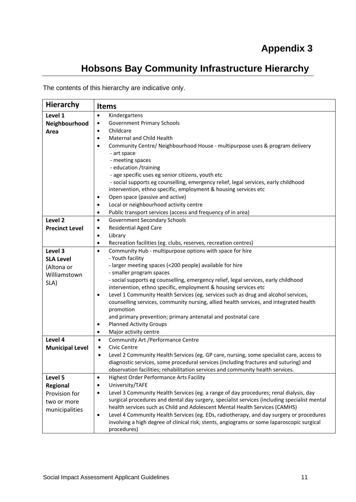# **Hobsons Bay Community Infrastructure Hierarchy**

The contents of this hierarchy are indicative only.

| <b>Hierarchy</b>       | <b>Items</b>                                                                                                |
|------------------------|-------------------------------------------------------------------------------------------------------------|
| Level 1                | Kindergartens<br>$\bullet$                                                                                  |
| Neighbourhood          | <b>Government Primary Schools</b><br>$\bullet$                                                              |
| Area                   | Childcare<br>$\bullet$                                                                                      |
|                        | <b>Maternal and Child Health</b><br>$\bullet$                                                               |
|                        | Community Centre/ Neighbourhood House - multipurpose uses & program delivery<br>$\bullet$                   |
|                        | - art space                                                                                                 |
|                        | - meeting spaces                                                                                            |
|                        | - education /training                                                                                       |
|                        | - age specific uses eg senior citizens, youth etc                                                           |
|                        | - social supports eg counselling, emergency relief, legal services, early childhood                         |
|                        | intervention, ethno specific, employment & housing services etc                                             |
|                        | Open space (passive and active)<br>$\bullet$                                                                |
|                        | Local or neighbourhood activity centre<br>$\bullet$                                                         |
|                        | Public transport services (access and frequency of in area)<br>$\bullet$                                    |
| Level <sub>2</sub>     | Government Secondary Schools<br>$\bullet$                                                                   |
| <b>Precinct Level</b>  | <b>Residential Aged Care</b><br>$\bullet$                                                                   |
|                        | Library<br>$\bullet$                                                                                        |
|                        | Recreation facilities (eg. clubs, reserves, recreation centres)<br>$\bullet$                                |
| Level 3                | Community Hub - multipurpose options with space for hire<br>$\bullet$                                       |
| <b>SLA Level</b>       | - Youth facility                                                                                            |
| (Altona or             | - larger meeting spaces (<200 people) available for hire                                                    |
| Williamstown           | - smaller program spaces                                                                                    |
| SLA)                   | - social supports eg counselling, emergency relief, legal services, early childhood                         |
|                        | intervention, ethno specific, employment & housing services etc                                             |
|                        | Level 1 Community Health Services (eg. services such as drug and alcohol services,<br>$\bullet$             |
|                        | counselling services, community nursing, allied health services, and integrated health                      |
|                        | promotion                                                                                                   |
|                        | and primary prevention; primary antenatal and postnatal care<br><b>Planned Activity Groups</b><br>$\bullet$ |
|                        | Major activity centre<br>$\bullet$                                                                          |
| Level 4                | Community Art / Performance Centre<br>$\bullet$                                                             |
| <b>Municipal Level</b> | Civic Centre<br>$\bullet$                                                                                   |
|                        | Level 2 Community Health Services (eg. GP care, nursing, some specialist care, access to<br>٠               |
|                        | diagnostic services, some procedural services (including fractures and suturing) and                        |
|                        | observation facilities; rehabilitation services and community health services.                              |
| Level 5                | <b>Highest Order Performance Arts Facility</b><br>$\bullet$                                                 |
| Regional               | University/TAFE<br>$\bullet$                                                                                |
| Provision for          | Level 3 Community Health Services (eg. a range of day procedures; renal dialysis, day<br>$\bullet$          |
| two or more            | surgical procedures and dental day surgery, specialist services (including specialist mental                |
| municipalities         | health services such as Child and Adolescent Mental Health Services (CAMHS)                                 |
|                        | Level 4 Community Health Services (eg. EDs, radiotherapy, and day surgery or procedures<br>$\bullet$        |
|                        | involving a high degree of clinical risk; stents, angiograms or some laparoscopic surgical                  |
|                        | procedures)                                                                                                 |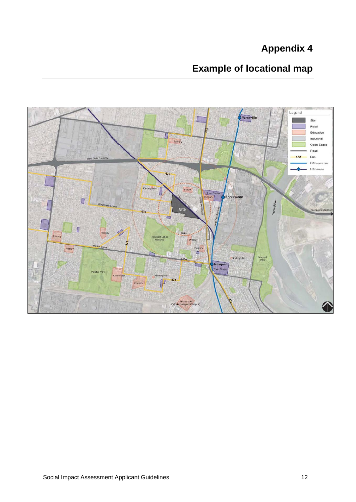# **Appendix 4**

# **Example of locational map**